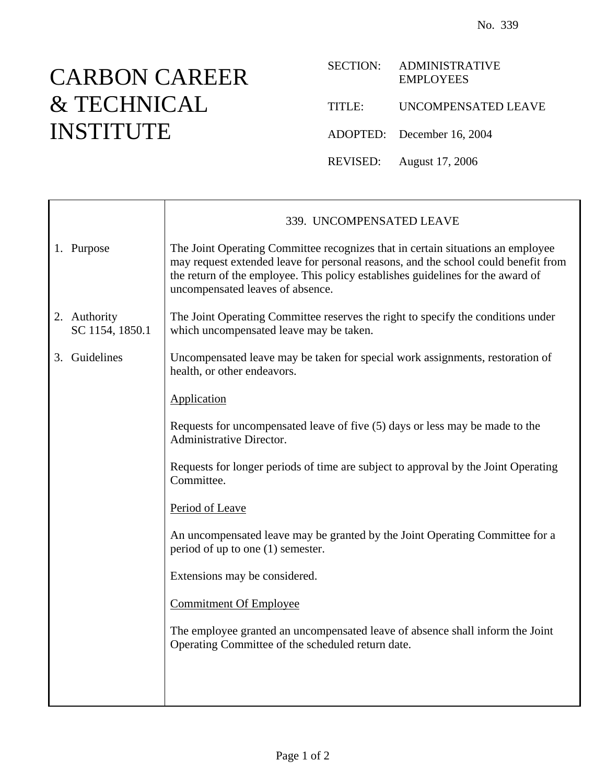## CARBON CAREER & TECHNICAL INSTITUTE

|        | SECTION: ADMINISTRATIVE<br><b>EMPLOYEES</b> |
|--------|---------------------------------------------|
| TITLE: | UNCOMPENSATED LEAVE                         |
|        | ADOPTED: December 16, 2004                  |
|        | REVISED: August 17, 2006                    |

|                                 | 339. UNCOMPENSATED LEAVE                                                                                                                                                                                                                                                                     |
|---------------------------------|----------------------------------------------------------------------------------------------------------------------------------------------------------------------------------------------------------------------------------------------------------------------------------------------|
| 1. Purpose                      | The Joint Operating Committee recognizes that in certain situations an employee<br>may request extended leave for personal reasons, and the school could benefit from<br>the return of the employee. This policy establishes guidelines for the award of<br>uncompensated leaves of absence. |
| 2. Authority<br>SC 1154, 1850.1 | The Joint Operating Committee reserves the right to specify the conditions under<br>which uncompensated leave may be taken.                                                                                                                                                                  |
| 3. Guidelines                   | Uncompensated leave may be taken for special work assignments, restoration of<br>health, or other endeavors.                                                                                                                                                                                 |
|                                 | Application                                                                                                                                                                                                                                                                                  |
|                                 | Requests for uncompensated leave of five (5) days or less may be made to the<br>Administrative Director.                                                                                                                                                                                     |
|                                 | Requests for longer periods of time are subject to approval by the Joint Operating<br>Committee.                                                                                                                                                                                             |
|                                 | Period of Leave                                                                                                                                                                                                                                                                              |
|                                 | An uncompensated leave may be granted by the Joint Operating Committee for a<br>period of up to one (1) semester.                                                                                                                                                                            |
|                                 | Extensions may be considered.                                                                                                                                                                                                                                                                |
|                                 | <b>Commitment Of Employee</b>                                                                                                                                                                                                                                                                |
|                                 | The employee granted an uncompensated leave of absence shall inform the Joint<br>Operating Committee of the scheduled return date.                                                                                                                                                           |
|                                 |                                                                                                                                                                                                                                                                                              |